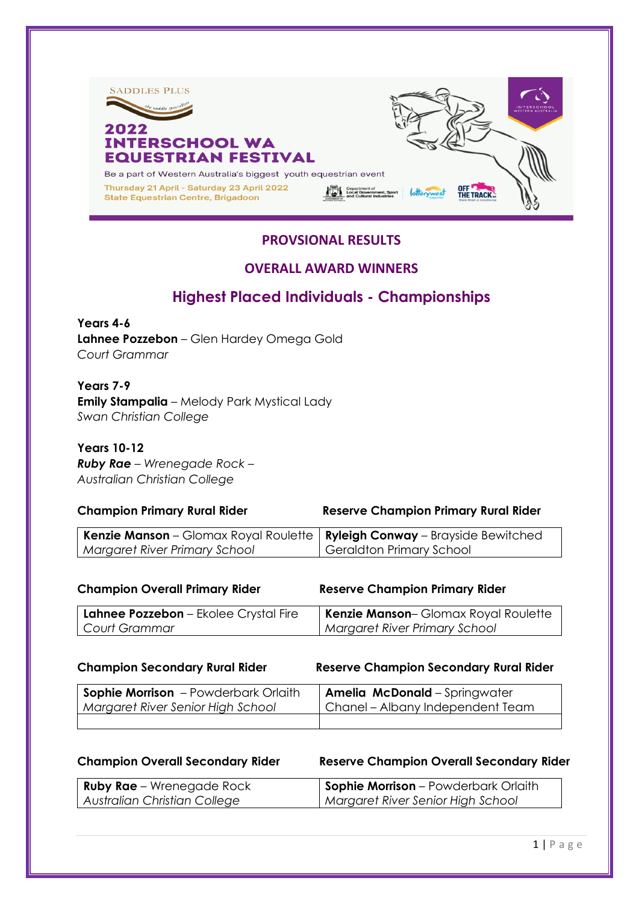

# **PROVSIONAL RESULTS**

## **OVERALL AWARD WINNERS**

# **Highest Placed Individuals - Championships**

**Years 4-6 Lahnee Pozzebon** – Glen Hardey Omega Gold *Court Grammar*

**Years 7-9 Emily Stampalia** – Melody Park Mystical Lady *Swan Christian College*

**Years 10-12** *Ruby Rae – Wrenegade Rock – Australian Christian College*

### **Champion Primary Rural Rider Reserve Champion Primary Rural Rider**

| <b>Kenzie Manson</b> – Glomax Royal Roulette   <b>Ryleigh Conway</b> – Brayside Bewitched |                          |
|-------------------------------------------------------------------------------------------|--------------------------|
| Margaret River Primary School                                                             | Geraldton Primary School |

| <b>Champion Overall Primary Rider</b> | <b>Reserve Champion Primary Rider</b> |
|---------------------------------------|---------------------------------------|
| Lahnee Pozzebon - Ekolee Crystal Fire | Kenzie Manson-Glomax Royal Roulette   |
| Court Grammar                         | <b>Margaret River Primary School</b>  |
|                                       |                                       |

**Champion Secondary Rural Rider Reserve Champion Secondary Rural Rider** 

| <b>Sophie Morrison</b> - Powderbark Orlaith | <b>Amelia McDonald</b> - Springwater |
|---------------------------------------------|--------------------------------------|
| Margaret River Senior High School           | Chanel – Albany Independent Team     |
|                                             |                                      |

## **Champion Overall Secondary Rider Reserve Champion Overall Secondary Rider**

| <b>Ruby Rae</b> – Wrenegade Rock | <b>Sophie Morrison</b> – Powderbark Orlaith |
|----------------------------------|---------------------------------------------|
| Australian Christian College     | Margaret River Senior High School           |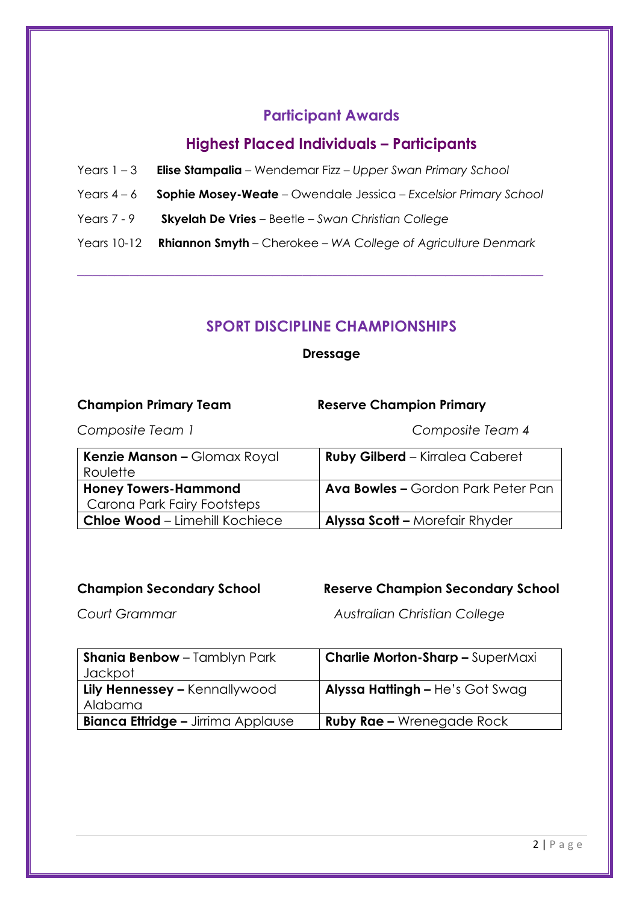# **Participant Awards**

# **Highest Placed Individuals – Participants**

- Years 1 3 **Elise Stampalia** Wendemar Fizz *Upper Swan Primary School*
- Years 4 6 **Sophie Mosey-Weate** Owendale Jessica *Excelsior Primary School*
- Years 7 9 **Skyelah De Vries** Beetle *Swan Christian College*
- Years 10-12 **Rhiannon Smyth** Cherokee *WA College of Agriculture Denmark*

\_\_\_\_\_\_\_\_\_\_\_\_\_\_\_\_\_\_\_\_\_\_\_\_\_\_\_\_\_\_\_\_\_\_\_\_\_\_\_\_\_\_\_\_\_\_\_\_\_\_\_\_\_\_\_\_\_\_\_\_\_\_

# **SPORT DISCIPLINE CHAMPIONSHIPS**

**Dressage** 

| <b>Champion Primary Team</b>                               | <b>Reserve Champion Primary</b>           |
|------------------------------------------------------------|-------------------------------------------|
| Composite Team 1                                           | Composite Team 4                          |
| Kenzie Manson - Glomax Royal<br>Roulette                   | <b>Ruby Gilberd</b> - Kirralea Caberet    |
| <b>Honey Towers-Hammond</b><br>Carona Park Fairy Footsteps | <b>Ava Bowles - Gordon Park Peter Pan</b> |
| <b>Chloe Wood - Limehill Kochiece</b>                      | <b>Alyssa Scott - Morefair Rhyder</b>     |

# **Champion Secondary School Reserve Champion Secondary School**

*Court Grammar Australian Christian College* 

| <b>Shania Benbow</b> - Tamblyn Park       | <b>Charlie Morton-Sharp - SuperMaxi</b> |
|-------------------------------------------|-----------------------------------------|
| Jackpot                                   |                                         |
| Lily Hennessey - Kennallywood             | <b>Alyssa Hattingh - He's Got Swag</b>  |
| Alabama                                   |                                         |
| <b>Bianca Ettridge – Jirrima Applause</b> | <b>Ruby Rae - Wrenegade Rock</b>        |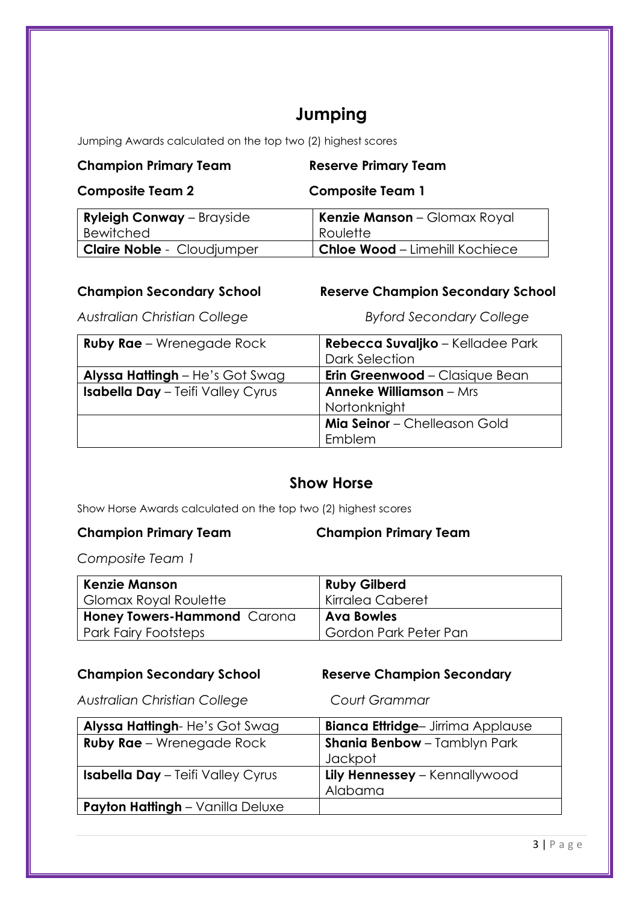# **Jumping**

Jumping Awards calculated on the top two (2) highest scores

| <b>Champion Primary Team</b>      | <b>Reserve Primary Team</b>           |  |
|-----------------------------------|---------------------------------------|--|
| <b>Composite Team 2</b>           | <b>Composite Team 1</b>               |  |
| <b>Ryleigh Conway</b> – Brayside  | <b>Kenzie Manson</b> – Glomax Royal   |  |
| <b>Bewitched</b>                  | Roulette                              |  |
| <b>Claire Noble - Cloudjumper</b> | <b>Chloe Wood - Limehill Kochiece</b> |  |

**Champion Secondary School Reserve Champion Secondary School**

*Australian Christian College Byford Secondary College*

| <b>Ruby Rae</b> – Wrenegade Rock         | Rebecca Suvaljko – Kelladee Park      |
|------------------------------------------|---------------------------------------|
|                                          | Dark Selection                        |
| <b>Alyssa Hattingh</b> – He's Got Swag   | <b>Erin Greenwood</b> – Clasique Bean |
| <b>Isabella Day - Teifi Valley Cyrus</b> | <b>Anneke Williamson</b> - Mrs        |
|                                          | Nortonknight                          |
|                                          | Mia Seinor - Chelleason Gold          |
|                                          | Emblem                                |

# **Show Horse**

Show Horse Awards calculated on the top two (2) highest scores

**Champion Primary Team Champion Primary Team**

*Composite Team 1*

| <b>Kenzie Manson</b>        | <b>Ruby Gilberd</b>   |
|-----------------------------|-----------------------|
| Glomax Royal Roulette       | Kirralea Caberet      |
| Honey Towers-Hammond Carona | <b>Ava Bowles</b>     |
| Park Fairy Footsteps        | Gordon Park Peter Pan |

# **Champion Secondary School Reserve Champion Secondary**

*Australian Christian College Court Grammar*

| Alyssa Hattingh-He's Got Swag            | <b>Bianca Ettridge- Jirrima Applause</b> |
|------------------------------------------|------------------------------------------|
| <b>Ruby Rae</b> – Wrenegade Rock         | <b>Shania Benbow</b> - Tamblyn Park      |
|                                          | Jackpot                                  |
| <b>Isabella Day</b> - Teifi Valley Cyrus | Lily Hennessey – Kennallywood            |
|                                          | Alabama                                  |
| <b>Payton Hattingh</b> – Vanilla Deluxe  |                                          |
|                                          |                                          |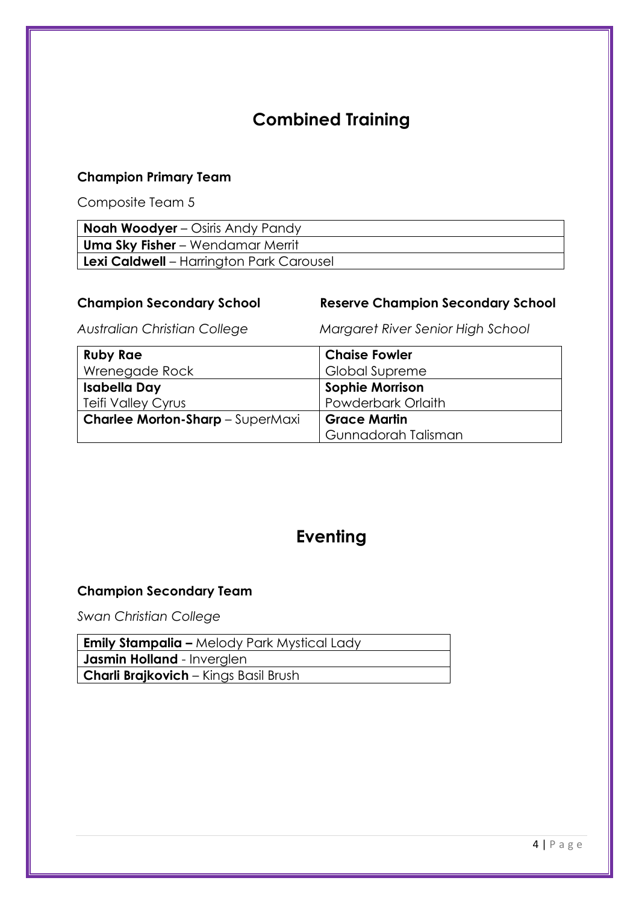# **Combined Training**

# **Champion Primary Team**

Composite Team 5

| <b>Noah Woodyer</b> – Osiris Andy Pandy  |
|------------------------------------------|
| Uma Sky Fisher – Wendamar Merrit         |
| Lexi Caldwell - Harrington Park Carousel |

# **Champion Secondary School Reserve Champion Secondary School**

*Australian Christian College Margaret River Senior High School*

| <b>Ruby Rae</b>                         | <b>Chaise Fowler</b>   |
|-----------------------------------------|------------------------|
| Wrenegade Rock                          | <b>Global Supreme</b>  |
| <b>Isabella Day</b>                     | <b>Sophie Morrison</b> |
| <b>Teifi Valley Cyrus</b>               | Powderbark Orlaith     |
| <b>Charlee Morton-Sharp</b> - SuperMaxi | <b>Grace Martin</b>    |
|                                         | Gunnadorah Talisman    |

# **Eventing**

## **Champion Secondary Team**

*Swan Christian College* 

| <b>Emily Stampalia –</b> Melody Park Mystical Lady |  |  |
|----------------------------------------------------|--|--|
| <b>Jasmin Holland</b> - Inverglen                  |  |  |
| <b>Charli Brajkovich</b> – Kings Basil Brush       |  |  |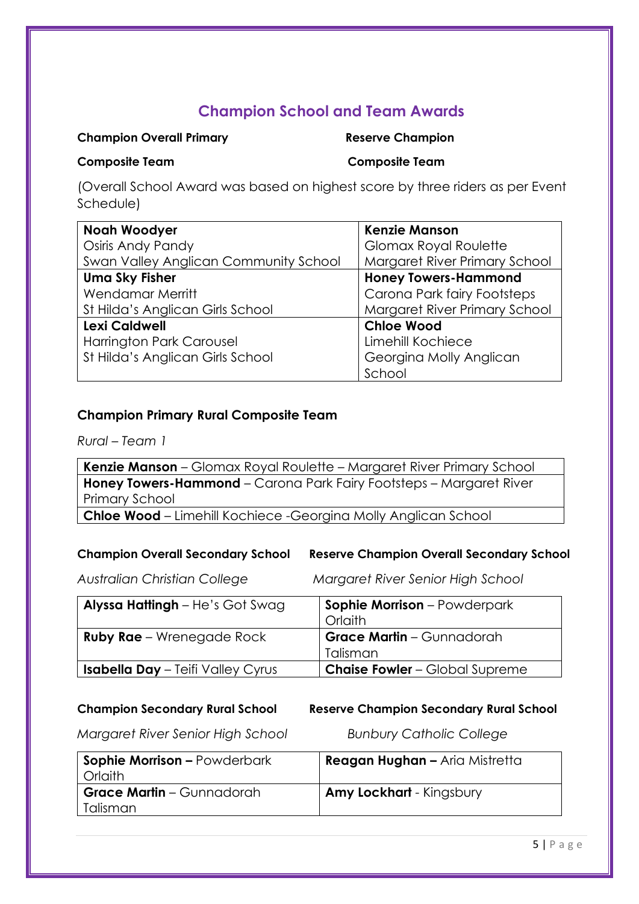# **Champion School and Team Awards**

## **Champion Overall Primary Champion Reserve Champion**

**Composite Team Composite Team**

(Overall School Award was based on highest score by three riders as per Event Schedule)

| <b>Noah Woodyer</b>                          | <b>Kenzie Manson</b>          |
|----------------------------------------------|-------------------------------|
| Osiris Andy Pandy                            | Glomax Royal Roulette         |
| <b>Swan Valley Anglican Community School</b> | Margaret River Primary School |
| <b>Uma Sky Fisher</b>                        | <b>Honey Towers-Hammond</b>   |
| <b>Wendamar Merritt</b>                      | Carona Park fairy Footsteps   |
| St Hilda's Anglican Girls School             | Margaret River Primary School |
| Lexi Caldwell                                | <b>Chloe Wood</b>             |
| Harrington Park Carousel                     | Limehill Kochiece             |
| St Hilda's Anglican Girls School             | Georgina Molly Anglican       |
|                                              | School                        |

## **Champion Primary Rural Composite Team**

*Rural – Team 1*

**Kenzie Manson** – Glomax Royal Roulette – Margaret River Primary School **Honey Towers-Hammond** – Carona Park Fairy Footsteps – Margaret River Primary School

**Chloe Wood** – Limehill Kochiece -Georgina Molly Anglican School

**Champion Overall Secondary School Reserve Champion Overall Secondary School**

*Australian Christian College Margaret River Senior High School*

| Alyssa Hattingh - He's Got Swag          | <b>Sophie Morrison</b> - Powderpark<br>Orlaith |
|------------------------------------------|------------------------------------------------|
| <b>Ruby Rae</b> – Wrenegade Rock         | <b>Grace Martin</b> – Gunnadorah               |
|                                          | Talisman                                       |
| <b>Isabella Day</b> - Teifi Valley Cyrus | <b>Chaise Fowler</b> - Global Supreme          |

## **Champion Secondary Rural School Reserve Champion Secondary Rural School**

*Margaret River Senior High School Bunbury Catholic College* 

| <b>Sophie Morrison - Powderbark</b><br>Orlaith | <b>Reagan Hughan - Aria Mistretta</b> |
|------------------------------------------------|---------------------------------------|
| <b>Grace Martin</b> – Gunnadorah<br>Talisman   | <b>Amy Lockhart</b> - Kingsbury       |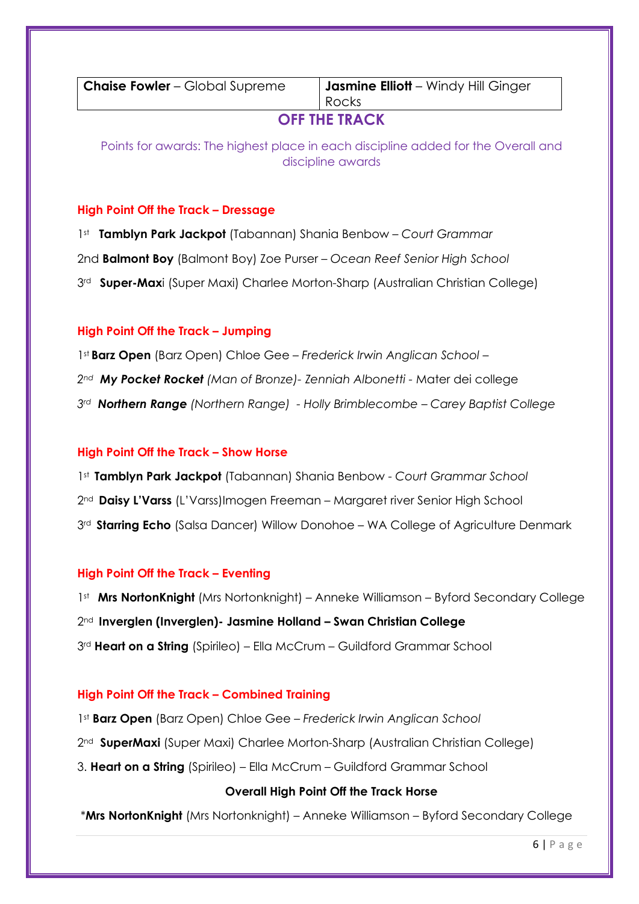**Chaise Fowler** – Global Supreme **Jasmine Elliott** – Windy Hill Ginger Rocks

# **OFF THE TRACK**

Points for awards: The highest place in each discipline added for the Overall and discipline awards

## **High Point Off the Track – Dressage**

1st **Tamblyn Park Jackpot** (Tabannan) Shania Benbow – *Court Grammar* 2nd **Balmont Boy** (Balmont Boy) Zoe Purser – *Ocean Reef Senior High School* 3rd **Super-Max**i (Super Maxi) Charlee Morton-Sharp (Australian Christian College)

## **High Point Off the Track – Jumping**

1st **Barz Open** (Barz Open) Chloe Gee – *Frederick Irwin Anglican School – 2nd My Pocket Rocket (Man of Bronze)- Zenniah Albonetti -* Mater dei college *3rd Northern Range (Northern Range) - Holly Brimblecombe – Carey Baptist College*

## **High Point Off the Track – Show Horse**

1st **Tamblyn Park Jackpot** (Tabannan) Shania Benbow - *Court Grammar School*

2nd **Daisy L'Varss** (L'Varss)Imogen Freeman – Margaret river Senior High School

3<sup>rd</sup> Starring Echo (Salsa Dancer) Willow Donohoe – WA College of Agriculture Denmark

## **High Point Off the Track – Eventing**

1<sup>st</sup> Mrs NortonKnight (Mrs Nortonknight) – Anneke Williamson – Byford Secondary College

2nd **Inverglen (Inverglen)- Jasmine Holland – Swan Christian College**

3rd **Heart on a String** (Spirileo) – Ella McCrum – Guildford Grammar School

## **High Point Off the Track – Combined Training**

1st **Barz Open** (Barz Open) Chloe Gee – *Frederick Irwin Anglican School* 2nd **SuperMaxi** (Super Maxi) Charlee Morton-Sharp (Australian Christian College)

3. **Heart on a String** (Spirileo) – Ella McCrum – Guildford Grammar School

## **Overall High Point Off the Track Horse**

\***Mrs NortonKnight** (Mrs Nortonknight) – Anneke Williamson – Byford Secondary College